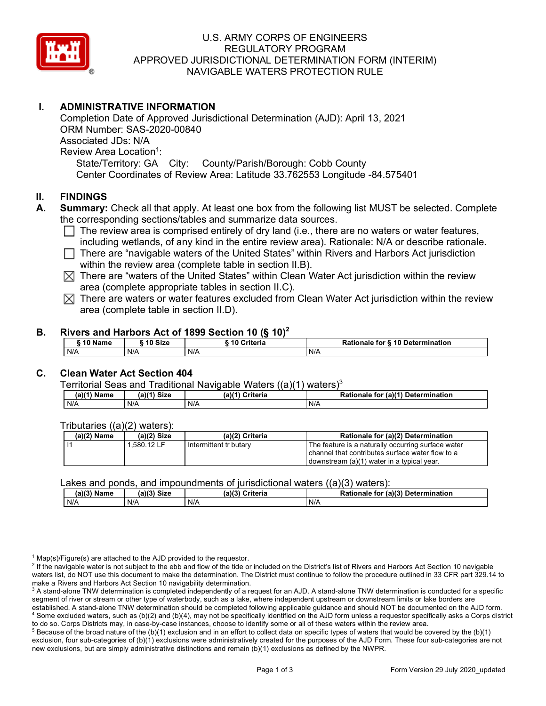

# U.S. ARMY CORPS OF ENGINEERS REGULATORY PROGRAM APPROVED JURISDICTIONAL DETERMINATION FORM (INTERIM) NAVIGABLE WATERS PROTECTION RULE

# **I. ADMINISTRATIVE INFORMATION**

 State/Territory: GA City: County/Parish/Borough: Cobb County Completion Date of Approved Jurisdictional Determination (AJD): April 13, 2021 ORM Number: SAS-2020-00840 Associated JDs: N/A Review Area Location<sup>1</sup>: Center Coordinates of Review Area: Latitude 33.762553 Longitude -84.575401

## **II. FINDINGS**

- **A. Summary:** Check all that apply. At least one box from the following list MUST be selected. Complete the corresponding sections/tables and summarize data sources.
	- □ The review area is comprised entirely of dry land (i.e., there are no waters or water features,<br>including wetlands, of any kind in the entire review area). Pationale: N/A or describe rationale including wetlands, of any kind in the entire review area). Rationale: N/A or describe rationale.
	- ◯ There are "navigable waters of the United States" within Rivers and Harbors Act jurisdiction<br>within the review area (complete table in section Ⅱ B) within the review area (complete table in section II.B).
	- $\boxtimes$  There are "waters of the United States" within Clean Water Act jurisdiction within the review area (complete appropriate tables in section II.C).
	- $\boxtimes$  There are waters or water features excluded from Clean Water Act jurisdiction within the review area (complete table in section II.D).

## **B. Rivers and Harbors Act of 1899 Section 10 (§ 10)2**

|           |           | ---         |                                  |
|-----------|-----------|-------------|----------------------------------|
| ` 10 Name | ` 10 Size | 10 Criteria | Rationale for § 10 Determination |
| N/A       | N/A       | N/A         | N/A                              |

# **C. Clean Water Act Section 404**

#### Territorial Seas and Traditional Navigable Waters  $((a)(1)$  waters)<sup>3</sup>

| <b>Name</b><br>(a) | . <i>.</i> .<br><b>Size</b> | $\mathbf{a}$<br>Criteria | (a)(1)<br><b>Determination</b><br>Rationale<br>a tor |
|--------------------|-----------------------------|--------------------------|------------------------------------------------------|
| N/A                | N/A                         | N/A                      | N/A                                                  |

## Tributaries ((a)(2) waters):

| I.580.12 LF<br>The feature is a naturally occurring surface water<br>Intermittent tr butary<br>channel that contributes surface water flow to a | $(a)(2)$ Name | $(a)(2)$ Size | (a)(2) Criteria | Rationale for (a)(2) Determination         |
|-------------------------------------------------------------------------------------------------------------------------------------------------|---------------|---------------|-----------------|--------------------------------------------|
|                                                                                                                                                 |               |               |                 | downstream (a)(1) water in a typical year. |

#### Lakes and ponds, and impoundments of jurisdictional waters  $((a)(3)$  waters):

| ____________ |             |                    | .                                  |
|--------------|-------------|--------------------|------------------------------------|
| (a)(3) Name  | (a)(3) Size | (a)(?`<br>Criteria | Rationale for (a)(3) Determination |
| N/A          | N/A         | N/A                | N/A                                |

 $1$  Map(s)/Figure(s) are attached to the AJD provided to the requestor.

<sup>2</sup> If the navigable water is not subject to the ebb and flow of the tide or included on the District's list of Rivers and Harbors Act Section 10 navigable waters list, do NOT use this document to make the determination. The District must continue to follow the procedure outlined in 33 CFR part 329.14 to make a Rivers and Harbors Act Section 10 navigability determination.

to do so. Corps Districts may, in case-by-case instances, choose to identify some or all of these waters within the review area.<br><sup>5</sup> Because of the broad nature of the (b)(1) exclusion and in an effort to collect data on s new exclusions, but are simply administrative distinctions and remain (b)(1) exclusions as defined by the NWPR. exclusion, four sub-categories of (b)(1) exclusions were administratively created for the purposes of the AJD Form. These four sub-categories are not

 segment of river or stream or other type of waterbody, such as a lake, where independent upstream or downstream limits or lake borders are established. A stand-alone TNW determination should be completed following applicable guidance and should NOT be documented on the AJD form.<br><sup>4</sup> Some excluded waters, such as (b)(2) and (b)(4), may not be specifically iden to do so. Corps Districts may, in case-by-case instances, choose to identify some or all of these waters within the review area. <sup>3</sup> A stand-alone TNW determination is completed independently of a request for an AJD. A stand-alone TNW determination is conducted for a specific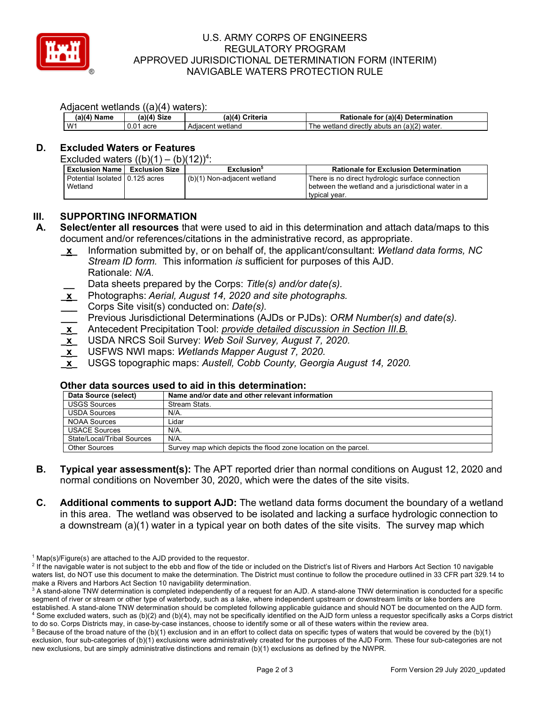

# U.S. ARMY CORPS OF ENGINEERS REGULATORY PROGRAM APPROVED JURISDICTIONAL DETERMINATION FORM (INTERIM) NAVIGABLE WATERS PROTECTION RULE

### Adjacent wetlands ((a)(4) waters):

|             |                | .                |                                                  |
|-------------|----------------|------------------|--------------------------------------------------|
| (a)(4) Name | Size<br>(4)(a, | (a)(4) Criteria  | Rationale for (a)(4) Determination               |
| $1 M^4$     | acre<br>U.U    | Adiacent wetland | a wetland directly abuts an (a)(2) water.<br>∣he |

## **D. Excluded Waters or Features**

| <b>Exclusion Name</b>                      | <b>Exclusion Size</b> | Exclusion <sup>5</sup>      | <b>Rationale for Exclusion Determination</b>                                                                             |
|--------------------------------------------|-----------------------|-----------------------------|--------------------------------------------------------------------------------------------------------------------------|
| Potential Isolated 10.125 acres<br>Wetland |                       | (b)(1) Non-adjacent wetland | There is no direct hydrologic surface connection<br>between the wetland and a jurisdictional water in a<br>typical year. |

# **III. SUPPORTING INFORMATION**

**A. Select/enter all resources** that were used to aid in this determination and attach data/maps to this document and/or references/citations in the administrative record, as appropriate.

- *Stream ID form.* This information *is* sufficient for purposes of this AJD. **\_x\_** Information submitted by, or on behalf of, the applicant/consultant: *Wetland data forms, NC*  Rationale: *N/A.* 
	- **\_\_** Data sheets prepared by the Corps: *Title(s) and/or date(s).*
- **\_x\_** Photographs: *Aerial, August 14, 2020 and site photographs.*
- **\_\_\_** Corps Site visit(s) conducted on: *Date(s).*
- **\_\_\_** Previous Jurisdictional Determinations (AJDs or PJDs): *ORM Number(s) and date(s).*
- **\_x\_** Antecedent Precipitation Tool: *provide detailed discussion in Section III.B.*
- **\_x\_** USDA NRCS Soil Survey: *Web Soil Survey, August 7, 2020.*
- **\_x\_** USFWS NWI maps: *Wetlands Mapper August 7, 2020.*
- **\_x\_** USGS topographic maps: *Austell, Cobb County, Georgia August 14, 2020.*

## **Other data sources used to aid in this determination:**

| <b>Exclusion Name   Exclusion Size</b>    |                                                                                             | Exclusion <sup>5</sup>                                                                                   | <b>Rationale for Exclusion Determination</b>                                                                             |  |  |
|-------------------------------------------|---------------------------------------------------------------------------------------------|----------------------------------------------------------------------------------------------------------|--------------------------------------------------------------------------------------------------------------------------|--|--|
| Potential Isolated 0.125 acres<br>Wetland |                                                                                             | (b)(1) Non-adjacent wetland                                                                              | There is no direct hydrologic surface connection<br>between the wetland and a jurisdictional water in a<br>typical year. |  |  |
| <b>SUPPORTING INFORMATION</b>             |                                                                                             |                                                                                                          |                                                                                                                          |  |  |
|                                           |                                                                                             |                                                                                                          | Select/enter all resources that were used to aid in this determination and attach data/maps to this                      |  |  |
|                                           |                                                                                             |                                                                                                          | document and/or references/citations in the administrative record, as appropriate.                                       |  |  |
| $\mathbf{x}$                              | Information submitted by, or on behalf of, the applicant/consultant: Wetland data forms, NC |                                                                                                          |                                                                                                                          |  |  |
|                                           |                                                                                             | Stream ID form. This information is sufficient for purposes of this AJD.                                 |                                                                                                                          |  |  |
| Rationale: N/A.                           |                                                                                             |                                                                                                          |                                                                                                                          |  |  |
|                                           |                                                                                             | Data sheets prepared by the Corps: Title(s) and/or date(s).                                              |                                                                                                                          |  |  |
| $\underline{\mathbf{x}}$                  |                                                                                             | Photographs: Aerial, August 14, 2020 and site photographs.                                               |                                                                                                                          |  |  |
|                                           | Corps Site visit(s) conducted on: Date(s).                                                  |                                                                                                          |                                                                                                                          |  |  |
|                                           |                                                                                             |                                                                                                          | Previous Jurisdictional Determinations (AJDs or PJDs): ORM Number(s) and date(s).                                        |  |  |
| $\frac{\mathbf{x}}{x}$                    |                                                                                             |                                                                                                          | Antecedent Precipitation Tool: provide detailed discussion in Section III.B.                                             |  |  |
| $\underline{x}$                           |                                                                                             | USDA NRCS Soil Survey: Web Soil Survey, August 7, 2020.                                                  |                                                                                                                          |  |  |
| $\mathbf{x}$                              |                                                                                             | USFWS NWI maps: Wetlands Mapper August 7, 2020.                                                          |                                                                                                                          |  |  |
|                                           |                                                                                             |                                                                                                          |                                                                                                                          |  |  |
| $\mathbf{x}$                              |                                                                                             |                                                                                                          | USGS topographic maps: Austell, Cobb County, Georgia August 14, 2020.                                                    |  |  |
|                                           |                                                                                             |                                                                                                          |                                                                                                                          |  |  |
| Data Source (select)                      |                                                                                             | Other data sources used to aid in this determination:<br>Name and/or date and other relevant information |                                                                                                                          |  |  |
| <b>USGS Sources</b>                       |                                                                                             | Stream Stats.                                                                                            |                                                                                                                          |  |  |
| <b>USDA Sources</b>                       | N/A                                                                                         |                                                                                                          |                                                                                                                          |  |  |
| <b>NOAA Sources</b>                       | Lidar                                                                                       |                                                                                                          |                                                                                                                          |  |  |
| <b>USACE Sources</b>                      | $N/A$ .                                                                                     |                                                                                                          |                                                                                                                          |  |  |
| <b>State/Local/Tribal Sources</b>         | N/A.                                                                                        |                                                                                                          |                                                                                                                          |  |  |
| <b>Other Sources</b>                      |                                                                                             | Survey map which depicts the flood zone location on the parcel.                                          |                                                                                                                          |  |  |

- **B. Typical year assessment(s):** The APT reported drier than normal conditions on August 12, 2020 and normal conditions on November 30, 2020, which were the dates of the site visits.
- **C. Additional comments to support AJD:** The wetland data forms document the boundary of a wetland in this area. The wetland was observed to be isolated and lacking a surface hydrologic connection to a downstream (a)(1) water in a typical year on both dates of the site visits. The survey map which

 $1$  Map(s)/Figure(s) are attached to the AJD provided to the requestor.

<sup>&</sup>lt;sup>2</sup> If the navigable water is not subject to the ebb and flow of the tide or included on the District's list of Rivers and Harbors Act Section 10 navigable waters list, do NOT use this document to make the determination. The District must continue to follow the procedure outlined in 33 CFR part 329.14 to make a Rivers and Harbors Act Section 10 navigability determination.

 segment of river or stream or other type of waterbody, such as a lake, where independent upstream or downstream limits or lake borders are established. A stand-alone TNW determination should be completed following applicable guidance and should NOT be documented on the AJD form.<br><sup>4</sup> Some excluded waters, such as (b)(2) and (b)(4), may not be specifically iden to do so. Corps Districts may, in case-by-case instances, choose to identify some or all of these waters within the review area. <sup>3</sup> A stand-alone TNW determination is completed independently of a request for an AJD. A stand-alone TNW determination is conducted for a specific

to do so. Corps Districts may, in case-by-case instances, choose to identify some or all of these waters within the review area.<br><sup>5</sup> Because of the broad nature of the (b)(1) exclusion and in an effort to collect data on s new exclusions, but are simply administrative distinctions and remain (b)(1) exclusions as defined by the NWPR. exclusion, four sub-categories of (b)(1) exclusions were administratively created for the purposes of the AJD Form. These four sub-categories are not